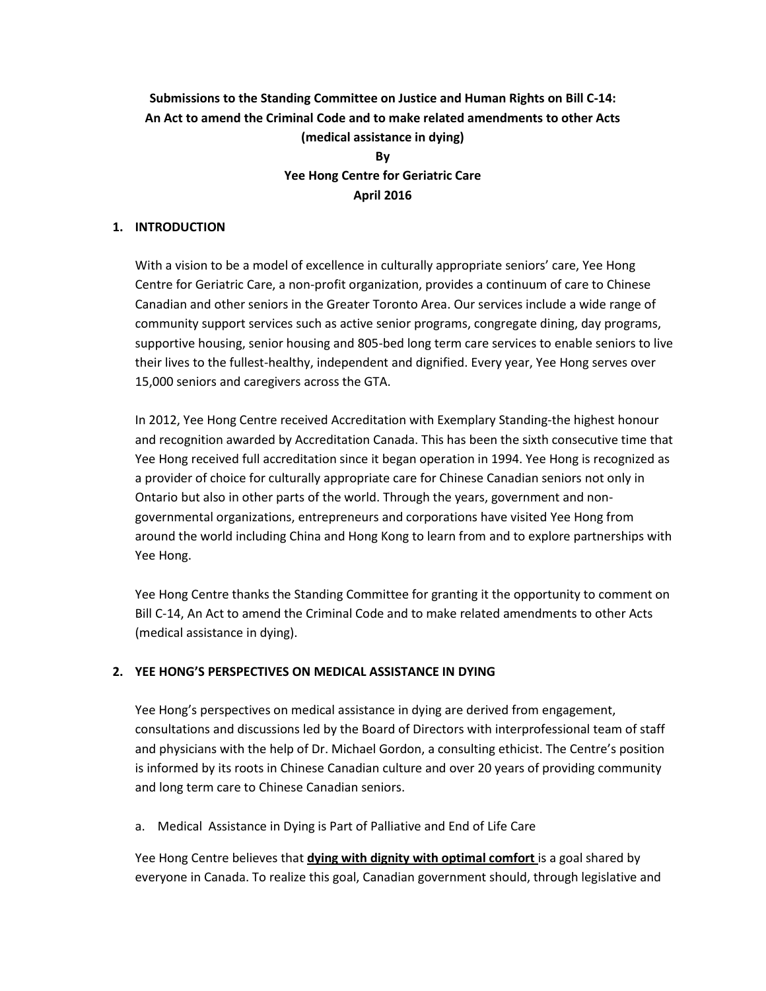# **Submissions to the Standing Committee on Justice and Human Rights on Bill C-14: An Act to amend the Criminal Code and to make related amendments to other Acts (medical assistance in dying)**

## **By Yee Hong Centre for Geriatric Care April 2016**

#### **1. INTRODUCTION**

With a vision to be a model of excellence in culturally appropriate seniors' care, Yee Hong Centre for Geriatric Care, a non-profit organization, provides a continuum of care to Chinese Canadian and other seniors in the Greater Toronto Area. Our services include a wide range of community support services such as active senior programs, congregate dining, day programs, supportive housing, senior housing and 805-bed long term care services to enable seniors to live their lives to the fullest-healthy, independent and dignified. Every year, Yee Hong serves over 15,000 seniors and caregivers across the GTA.

In 2012, Yee Hong Centre received Accreditation with Exemplary Standing-the highest honour and recognition awarded by Accreditation Canada. This has been the sixth consecutive time that Yee Hong received full accreditation since it began operation in 1994. Yee Hong is recognized as a provider of choice for culturally appropriate care for Chinese Canadian seniors not only in Ontario but also in other parts of the world. Through the years, government and nongovernmental organizations, entrepreneurs and corporations have visited Yee Hong from around the world including China and Hong Kong to learn from and to explore partnerships with Yee Hong.

Yee Hong Centre thanks the Standing Committee for granting it the opportunity to comment on Bill C-14, An Act to amend the Criminal Code and to make related amendments to other Acts (medical assistance in dying).

#### **2. YEE HONG'S PERSPECTIVES ON MEDICAL ASSISTANCE IN DYING**

Yee Hong's perspectives on medical assistance in dying are derived from engagement, consultations and discussions led by the Board of Directors with interprofessional team of staff and physicians with the help of Dr. Michael Gordon, a consulting ethicist. The Centre's position is informed by its roots in Chinese Canadian culture and over 20 years of providing community and long term care to Chinese Canadian seniors.

a. Medical Assistance in Dying is Part of Palliative and End of Life Care

Yee Hong Centre believes that **dying with dignity with optimal comfort** is a goal shared by everyone in Canada. To realize this goal, Canadian government should, through legislative and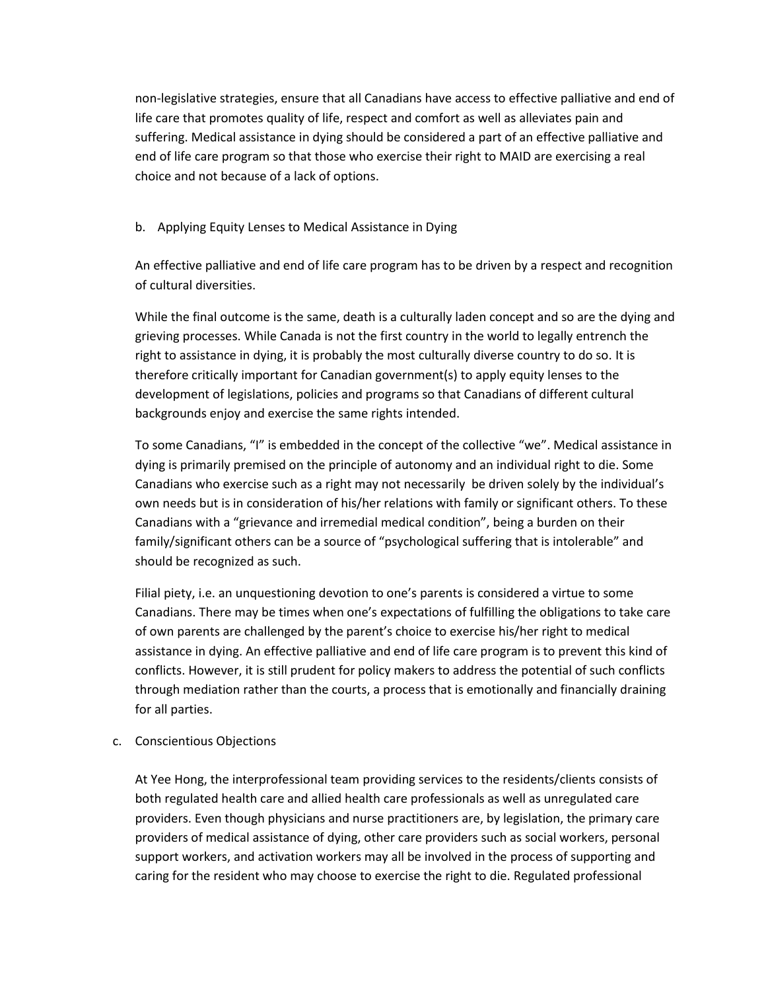non-legislative strategies, ensure that all Canadians have access to effective palliative and end of life care that promotes quality of life, respect and comfort as well as alleviates pain and suffering. Medical assistance in dying should be considered a part of an effective palliative and end of life care program so that those who exercise their right to MAID are exercising a real choice and not because of a lack of options.

## b. Applying Equity Lenses to Medical Assistance in Dying

An effective palliative and end of life care program has to be driven by a respect and recognition of cultural diversities.

While the final outcome is the same, death is a culturally laden concept and so are the dying and grieving processes. While Canada is not the first country in the world to legally entrench the right to assistance in dying, it is probably the most culturally diverse country to do so. It is therefore critically important for Canadian government(s) to apply equity lenses to the development of legislations, policies and programs so that Canadians of different cultural backgrounds enjoy and exercise the same rights intended.

To some Canadians, "I" is embedded in the concept of the collective "we". Medical assistance in dying is primarily premised on the principle of autonomy and an individual right to die. Some Canadians who exercise such as a right may not necessarily be driven solely by the individual's own needs but is in consideration of his/her relations with family or significant others. To these Canadians with a "grievance and irremedial medical condition", being a burden on their family/significant others can be a source of "psychological suffering that is intolerable" and should be recognized as such.

Filial piety, i.e. an unquestioning devotion to one's parents is considered a virtue to some Canadians. There may be times when one's expectations of fulfilling the obligations to take care of own parents are challenged by the parent's choice to exercise his/her right to medical assistance in dying. An effective palliative and end of life care program is to prevent this kind of conflicts. However, it is still prudent for policy makers to address the potential of such conflicts through mediation rather than the courts, a process that is emotionally and financially draining for all parties.

#### c. Conscientious Objections

At Yee Hong, the interprofessional team providing services to the residents/clients consists of both regulated health care and allied health care professionals as well as unregulated care providers. Even though physicians and nurse practitioners are, by legislation, the primary care providers of medical assistance of dying, other care providers such as social workers, personal support workers, and activation workers may all be involved in the process of supporting and caring for the resident who may choose to exercise the right to die. Regulated professional